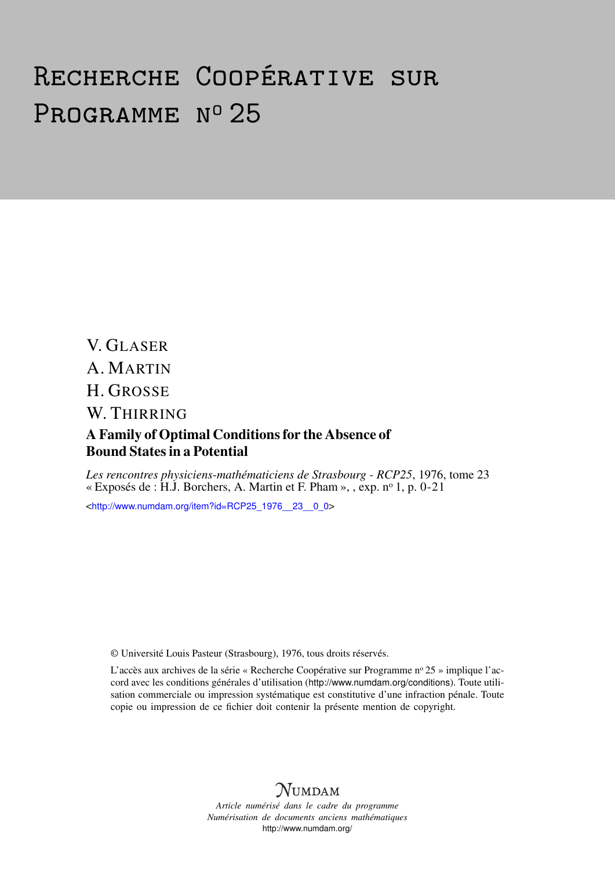# Recherche Coopérative sur PROGRAMME Nº 25

V. GLASER A. MARTIN H. GROSSE W. THIRRING A Family of Optimal Conditions for the Absence of Bound States in a Potential

*Les rencontres physiciens-mathématiciens de Strasbourg - RCP25*, 1976, tome 23 « Exposés de : H.J. Borchers, A. Martin et F. Pham », , exp. n<sup>o</sup> 1, p. 0-21

<[http://www.numdam.org/item?id=RCP25\\_1976\\_\\_23\\_\\_0\\_0](http://www.numdam.org/item?id=RCP25_1976__23__0_0)>

© Université Louis Pasteur (Strasbourg), 1976, tous droits réservés.

L'accès aux archives de la série « Recherche Coopérative sur Programme n° 25 » implique l'accord avec les conditions générales d'utilisation (<http://www.numdam.org/conditions>). Toute utilisation commerciale ou impression systématique est constitutive d'une infraction pénale. Toute copie ou impression de ce fichier doit contenir la présente mention de copyright.



*Article numérisé dans le cadre du programme Numérisation de documents anciens mathématiques* <http://www.numdam.org/>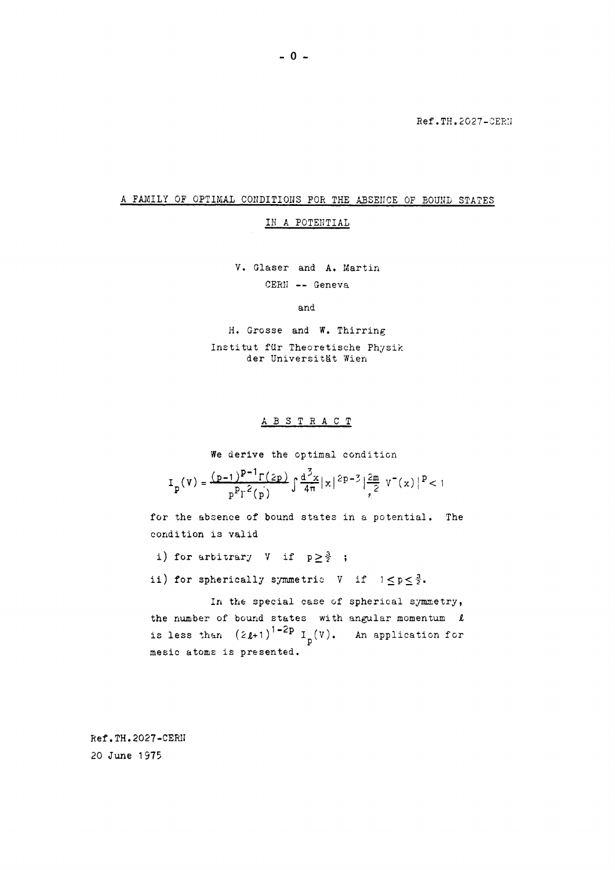Ref.TH.2027-CERN

### A FAMILY OF OPTIMAL CONDITIONS FOR THE ABSENCE OF BOUND STATES

IN A POTENTIAL

V· Glaser and A. Martin CERN -- Geneva

and

H. Grosse and W. Thirring Institut fur Theoretische Physik der Universitât Wien

### ABSTRAC T

We derive the optimal condition

$$
I_{p}(V) = \frac{(p-1)^{p-1} \Gamma(2p)}{p^{p} \Gamma^{2}(p)} \int \frac{d^{3}x}{4\pi} |x|^{2p-3} \Big| \frac{2m}{\pi^{2}} V^{-}(x) \Big|^{p} < 1
$$

for the absence of bound states in a potential. The condition is valid

i) for arbitrary  $V$  if  $p \geq \frac{3}{2}$ ;

ii) for spherically symmetric V if  $1 \le p \le \frac{3}{2}$ .

In the special case of spherical symmetry, the number of bound states with angular momentum *i*  is less than  $(2\ell+1)$ <sup>1-2p</sup>  $I_p(V)$ . An application for mesic atoms is presented.

Ref .TH.2027-CER1I 20 June 1975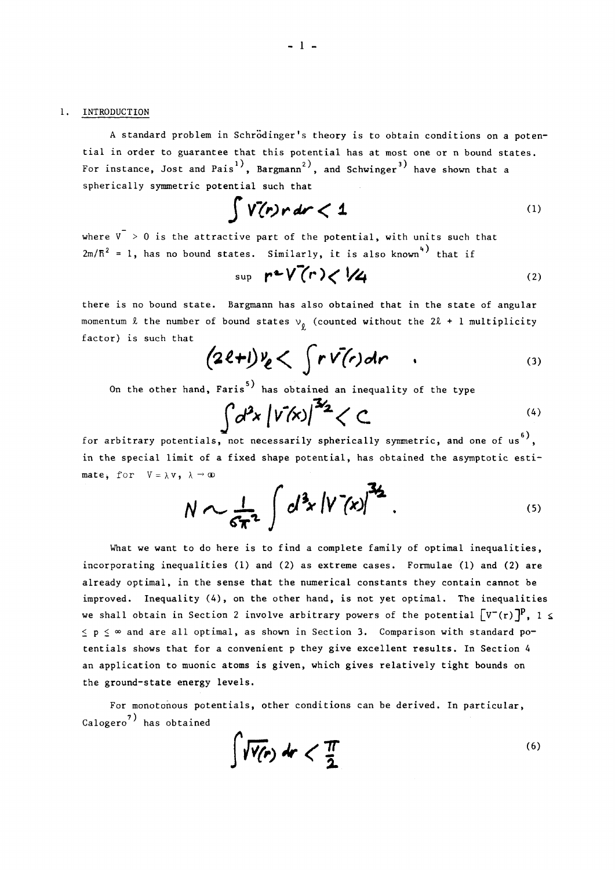A standard problem in Schrödinger's theory is to obtain conditions on a potential in order to guarantee that this potential has at most one or bound states. For instance, Jost and Pais<sup>1</sup>, Bargmann<sup>2</sup>, and Schwinger<sup>3</sup> have shown that a spherically symmetric potential such that

$$
\int V(r)r dr < 1 \tag{1}
$$

where  $V > 0$  is the attractive part of the potential, with units such that  $\sqrt{5^2}$  = 1 bas no bound states Similarly it is also known<sup>4)</sup> 2m/fi = 1, has no bound states. Similarly, it is also known that if

$$
\sup \mathbf{r} \cdot \mathbf{V}(\mathbf{r}) < \mathbf{V} \cdot \mathbf{V} \tag{2}
$$

there is no bound state. Bargmann has also obtained that in the state of angular momentum  $\ell$  the number of bound states  $v_{0}$  (counted without the 2 $\ell$  + 1 multiplicity factor) is such that

$$
(2\ell+1)\nu_{\ell}<\int r\overline{v}(r)dr\qquad \qquad (3)
$$

On the other hand, Faris<sup>3</sup> has obtained an inequality of the type

$$
\int d^2x \left| \sqrt{\nu'(x)} \right|^{3/2} < C
$$

for arbitrary potentials, not necessarily spherically symmetric, and one of us<sup>o</sup>, in the special limit of a fixed shape potential, has obtained the asymptotic estimate, for  $V = \lambda V$ ,  $\lambda \rightarrow \infty$ 

$$
N \sim \frac{1}{6\pi^2} \int d^3x \left| V^2(x) \right|^{3/2} . \tag{5}
$$

What we want to do here is to find a complete family of optimal inequalities, incorporating inequalities (1) and (2) as extreme cases. Formulae (1) and (2) are already optimal, in the sense that the numerical constants they contain cannot be improved. Inequality (4), on the other hand, is not yet optimal. The inequalities we shall obtain in Section 2 involve arbitrary powers of the potential  $[\mathbf{v}^-(\mathbf{r})]^{\mathbf{p}}$ , 1  $\leq$  $\leq$  p  $\leq$   $\infty$  and are all optimal, as shown in Section 3. Comparison with standard po $\cdot$ tentials shows that for a convenient p they give excellent results. In Section 4 an application to muonic atoms is given, which gives relatively tight bounds on the ground-state energy levels.

For monotonous potentials, other conditions can be derived. In particular, Calogero<sup>7</sup> has obtained

$$
\int \sqrt{V(r)}\,dr < \frac{\pi}{2} \tag{6}
$$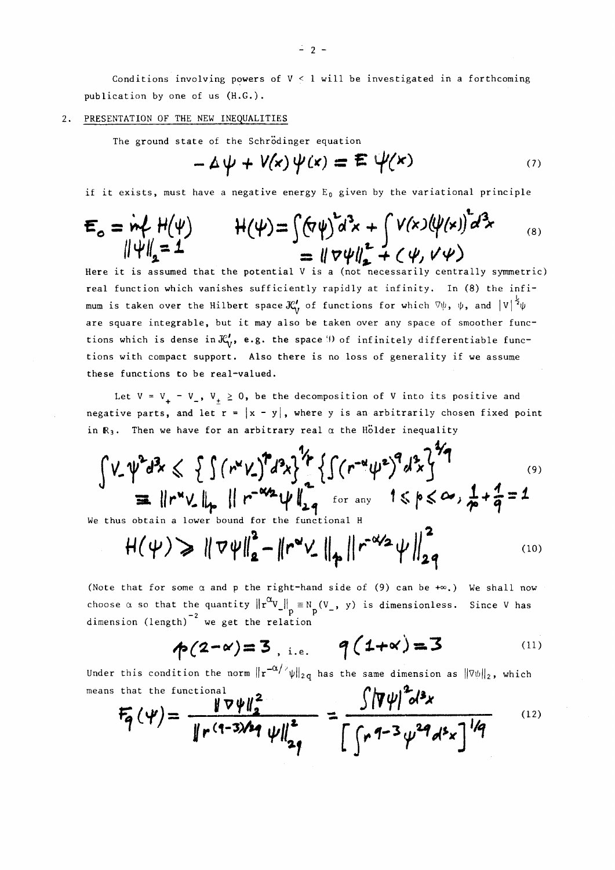Conditions involving powers of  $V < 1$  will be investigated in a forthcoming publication by one of us (H.G.).

### 2. PRESENTATION OF THE NEW INEQUALITIES

The ground state of the Schrödinger equation

$$
-\Delta \psi + V(x)\psi(x) = \mathbf{E} \psi(x) \tag{7}
$$

if it exists, must have a negative energy  $E_0$  given by the variational principle

$$
E_o = \dot{m}f H(\psi) \qquad H(\psi) = \int (\nabla \psi)^2 d^3x + \int V(x) (\psi(x))^2 d^3x \qquad (8)
$$
  
=  $\|\nabla \psi\|_2^2 + \langle \psi, V \psi \rangle$ 

Here it is assumed that the potential V is a (not necessarily centrally symmetric) real function which vanishes sufficiently rapidly at infinity. In (8) the infimum is taken over the Hilbert space  $\mathcal{K}'_V$  of functions for which  $\nabla\psi$ ,  $\psi$ , and  $|V|^\frac{1}{2}\psi$ are square integrable, but it may also be taken over any space of smoother functions which is dense in  $\mathcal{K}'_v$ , e.g. the space **i**) of infinitely differentiable functions with compact support. Also there is no loss of generality if we assume these functions to be real-valued.

Let  $V = V_+ - V_-, V_+ \ge 0$ , be the decomposition of V into its positive and negative parts, and let  $r = |x - y|$ , where y is an arbitrarily chosen fixed point in  $R_3$ . Then we have for an arbitrary real  $\alpha$  the Holder inequality

$$
\int V_{-} \psi^{2} d^{3}x \leq \int \int (r^{2}V_{-})^{2} d^{3}x \}^{\frac{1}{2}} \{ \int (r^{-\alpha} \psi^{2})^{3} d^{3}x \}^{\frac{1}{2}}
$$
\n
$$
\equiv ||r^{\alpha}V_{-}||_{p} ||r^{-\alpha/2} \psi ||_{2q}^{\frac{1}{2}} \int_{\text{for any}}^{r} 1 \leq p \leq \infty, \frac{1}{p} + \frac{1}{q} = 1
$$

We thus obtain a lower bound for the functional Η

$$
H(\psi) \geq \|\nabla \psi\|_{2}^{2} - \|r^{\omega} \psi\|_{\phi} \|r^{-\omega/2} \psi\|_{2q}^{2}
$$
 (10)

(Note that for some  $\alpha$  and  $p$  the right-hand side of (9) can be  $+\infty$ .) We shall now choose  $\alpha$  so that the quantity  $\|\mathbf{r}^\infty \mathbf{V}\| = \mathbb{N}_\mathbf{r}(\mathbf{V}_\perp, \mathbf{y})$  is dimensionless. Since V has  $-2$   $\mu$  e est the relation dimension (length) we get the relation

$$
\phi(2-\alpha)=3
$$
, i.e.  $q(1+\alpha)=3$  (11)

Under this condition the norm  $||r^{-\alpha/2}\psi||_{2q}$  has the same dimension as  $||\nabla\psi||_2$ , which means that the functional  $\mathbf{A}$  $.2.$ 

$$
F_{q}(\psi) = \frac{\|\nabla \psi\|_{2}^{2}}{\|r^{(q-3)/2} \psi\|_{2q}^{2}} = \frac{\int |\nabla \psi|^{2} d^{3}x}{\left[\int r^{q-3} \psi^{2} d^{5}x\right]^{1/q}}
$$
 (12)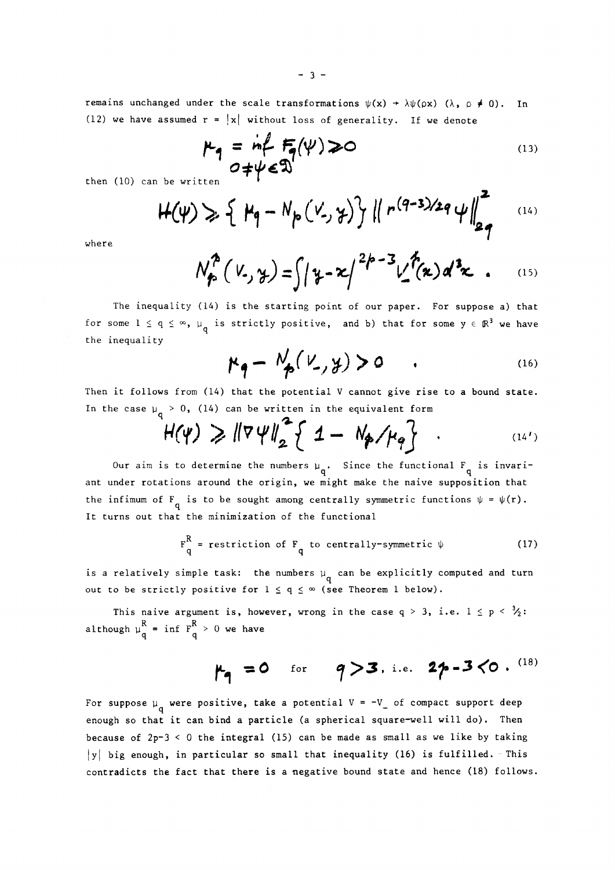remains unchanged under the scale transformations  $\psi(x) \rightarrow \lambda \psi(\rho x)$  ( $\lambda$ ,  $\rho \neq 0$ ). In (12) we have assumed  $r = |x|$  without loss of generality. If we denote

$$
\mu_{q} = \inf_{0 \neq \psi \in \mathfrak{D}} F_{q}(\psi) \ge 0
$$
 (13)

then (10) can be written

$$
H(\psi) \geqslant \{ \mu_q - N_p(V, \gamma) \} || r^{(q-3)/2q} \psi ||_{2q}^{r}
$$
 (14)

where

$$
N_{\phi}^{2}(V_{-},\gamma_{-})=\int |\gamma_{-}x|^{2p-3}V_{-}^{p}(x) d^{3}x . \qquad (15)
$$

The inequality (14) is the starting point of our paper. For suppose a) that for some  $1 \le q \le \infty$ ,  $\mu_q$  is strictly positive, and b) that for some  $y \in \mathbb{R}^3$  we have the inequality

$$
\mu_{q} - N_{p}(\nu_{-}, \gamma) > 0 \qquad . \qquad (16)
$$

Then it follows from (14) that the potential V cannot give rise to a bound state. In the case  $\mu_{q} > 0$ , (14) can be written in the equivalent form

$$
H(\psi) \geq \| \nabla \psi \|_2^2 \left\{ 1 - N_p / \mu_q \right\} \quad . \tag{14'}
$$

Our aim is to determine the numbers  $\mu_{q}$ . Since the functional F<sub>q</sub> is invari-<sup>1</sup><br>might make the naive supposi the infimum of F<sub>q</sub> is to be sought among centrally symmetric functions  $\psi = \psi(r)$ . It turns out that the minimization of the functional

$$
F_q^R = \text{restriction of } F_q \text{ to centrally-symmetric } \psi
$$
 (17)

is a relatively simple task: the numbers  $\mu_{\perp}$  can be explicitly computed and turn out to be strictly positive for  $1\,\leq\,q\,\leq\,\infty$  (see Theorem  $1$  below).

This naive argument is, however, wrong in the case  $q > 3$ , i.e.  $1 \le p < \frac{3}{2}$ : although  $\mu_a^R$  = inf  $F_a^R > 0$  we have  $\mathcal{A}$  q

## $\mu_a = 0$  for  $q > 3$ , i.e.  $2p - 3 \langle 0 \cdot \frac{(18)}{2} \rangle$

For suppose  $\mu_{\alpha}$  were positive, take a potential V = -V<sub>\_</sub> of compact support deep enough so that it can bind a particle (a spherical square-well will do). Then because of  $2p-3 < 0$  the integral (15) can be made as small as we like by taking  $|y|$  big enough, in particular so small that inequality (16) is fulfilled. This contradicts the fact that there is a negative bound state and hence (18) follows.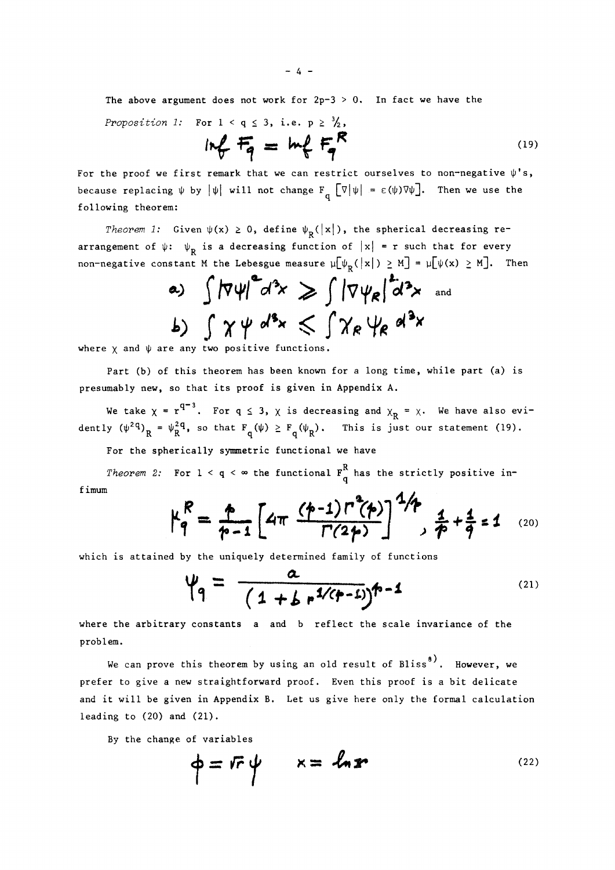The above argument does not work for  $2p-3 > 0$ . In fact we have the

*Proposition* 1: For  $1 < q \le 3$ , i.e.  $p \ge \frac{3}{2}$ ,

$$
ln f = ln f = m \tag{19}
$$

For the proof we first remark that we can restrict ourselves to non-negative  $\psi$ 's, because replacing  $\psi$  by  $|\psi|$  will not change  $F_q$   $[\nabla|\psi|] = \varepsilon(\psi)\nabla\psi$ . Then we use the following theorem:

*Theorem 1:* Given  $\psi(x) \ge 0$ , define  $\psi_R(|x|)$ , the spherical decreasing rearrangement of  $\psi$ :  $\psi_p$  is a decreasing function of  $|x| = r$  such that for every non-negative constant M the Lebesgue measure  $\mu[\psi_R(|x|) \ge M] = \mu[\psi(x) \ge M]$ . Then

a) 
$$
\int |\nabla \psi|^2 d^3x \ge \int |\nabla \psi_R|^2 d^3x
$$
 and  
b)  $\int \chi \psi d^3x \le \int \chi_R \psi_R d^3x$ 

where  $\chi$  and  $\psi$  are any two positive functions.

Part (b) of this theorem has been known for a long time, while part (a) is presumably new, so that its proof is given in Appendix A.

We take  $\chi$  =  $r^4$  . For q  $\leq$  3,  $\chi$  is decreasing and  $\chi_{_{\bf D}}$  =  $\chi$ . We have also evidently  $(\psi^2 q)_R = \psi_R^2 q$ , so that  $F_q(\psi) \ge F_q(\psi_R)$ . This is just our statement (19).

For the spherically symmetric functional we have

Theorem 2: For  $1 < \mathsf{q} < \infty$  the functional  $\mathsf{F}_{\mathsf{q}}^\mathsf{R}$  has the strictly positive inf imum

$$
\mu_q^R = \frac{1}{p-1} \left[ 4\pi \frac{(p-1) \Gamma^2(p)}{\Gamma(2p)} \right]^{2/p} , \frac{1}{p} + \frac{1}{q} = 1 \quad (20)
$$

which is attained by the uniquely determined family of functions

$$
\psi_q = \frac{a}{(1 + b r^{1/(p-1)})^{n-1}}
$$
 (21)

where the arbitrary constants a and b reflect the scale invariance of the problem.

We can prove this theorem by using an old result of Bliss<sup>8</sup>. However, we prefer to give a new straightforward proof. Even this proof is a bit delicate and it will be given in Appendix B. Let us give here only the formal calculation and it will be given in Appendix B. Let us give here only the formal calculation  $\mathcal{L}$ leading to (20) and (21).

By the change of variables

$$
\phi = \mathbf{F} \cdot \boldsymbol{\psi} \qquad \kappa = \mathbf{L} \cdot \mathbf{F} \tag{22}
$$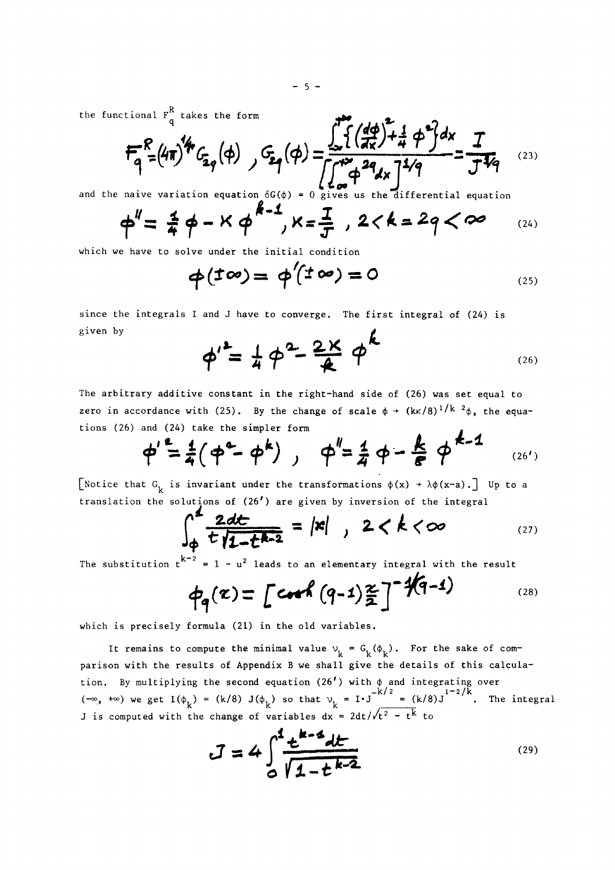the functional  $F_{\alpha}^{\gamma}$  takes the form

$$
F_{q}^{R} = (4\pi)^{4} G_{2q}(\phi) , F_{2q}(\phi) = \frac{\int_{\phi}^{1} \{ \left( \frac{d\phi}{dx} \right) + \frac{1}{4} \phi^{2} \} dx}{\int_{\phi}^{1} \phi^{2} dx} = \frac{T}{J^{4}q}
$$
 (23)

and the naive variation equation  $\delta G(\phi) = 0$  gives us the differential equation

$$
\phi'' = \frac{4}{7} \phi - K \phi^{k-1}, K = \frac{1}{T}, 2 < k = 2q < \infty
$$
 (24)

which we have to solve under the initial condition

$$
\phi(\pm\infty)=\phi'(t\omega)=0
$$
 (25)

 $\mathbf{P}$ 

since the integrals I and J have to converge. The first integral of  $(24)$  is given by

$$
\phi^{\prime} = \frac{1}{4} \phi^2 - \frac{2 \times}{4} \phi^{\prime}
$$
 (26)

The arbitrary additive constant in the right-hand side of (26) was set equal to zero in accordance with (25). By the change of scale  $\phi \rightarrow (\text{kK}/8)^{1/K - 2}\phi$ , the equations  $(26)$  and  $(24)$  take the simpler form  $\mathbf{r}$ 

$$
\phi'
$$
<sup>e</sup> =  $\frac{1}{4}(\phi^{e} - \phi^{k})$ ,  $\phi'' = \frac{1}{4}\phi - \frac{k}{8}\phi^{k-1}$  (26')

[Notice that  $G_k$  is invariant under the transformations  $\phi(x) \rightarrow \lambda \phi(x-a)$ .] Up to a translation the solutions of  $(26')$  are given by inversion of the integral

$$
\int_{\phi}^{2} \frac{2dt}{t} \frac{1}{1-t^{k-2}} = |x| , 2 < k < \infty
$$
 (27)

 $x^2 = 1 - u^2$  $\frac{1}{\sqrt{2}}$  - united to an elementary integral with the results to an elementary integral with the results of  $\frac{1}{\sqrt{2}}$ 

$$
\phi_{q}(x) = \left[ \cosh (q-1) \frac{x}{2} \right]^{-1} \sqrt{q-1}
$$
 (28)

which is precisely formula (21) in the old variables.

It remains to compute the minimal value  $\vee^{}_{\rm L}$  =  ${\rm G}^{}_{\rm L}(\varphi^{}_{\rm L})$ . For the sake of comparison with the results of Appendix B we shall give the details of this calculation. By multiplying the second equation (26') with  $\phi$  and integrating over  $-k/2 = (k/8) T^{1-2/k}$  $\frac{1}{k}$  is separated with the shapes of warishles dy =  $2dt/\sqrt{t^2 - t^2}$  to

$$
J = 4 \int_{0}^{1} \frac{t^{k-4} dt}{\sqrt{1-t^{k-2}}} \tag{29}
$$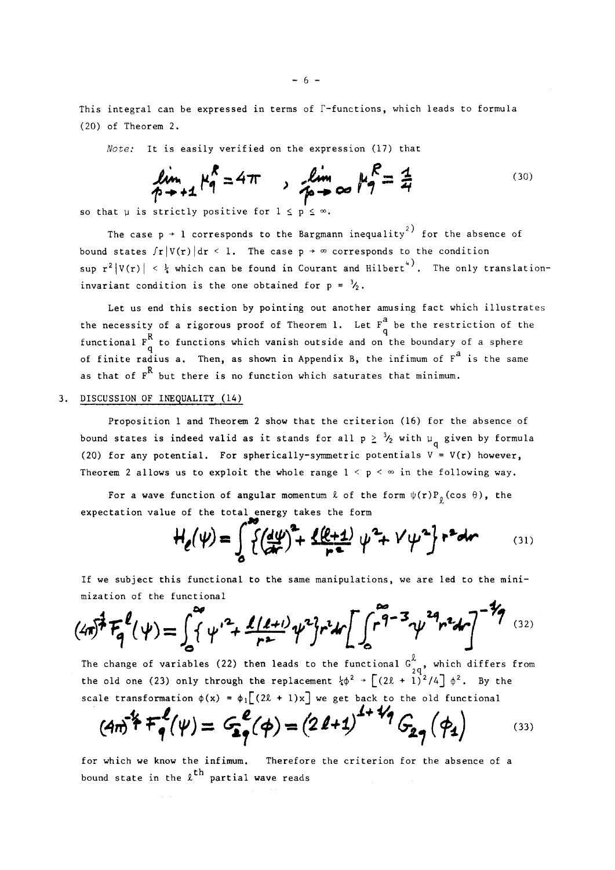This integral can be expressed in terms of  $\Gamma$ -functions, which leads to formula (20) of Theorem 2.

*Note:* It is easily verified on the expression (17) that

$$
\lim_{p \to +1} \mu_q^R = 4\pi \qquad \lim_{p \to +\infty} \mu_q^R = \frac{1}{4}
$$
 (30)

so that  $\mu$  is strictly positive for  $1 \le p \le \infty$ .

The case  $p \rightarrow 1$  corresponds to the Bargmann inequality<sup>2)</sup> for the absence of bound states  $\int r |V(r)| dr < 1$ . The case  $p \rightarrow \infty$  corresponds to the condition sup  $r^2 |V(r)| \leq \frac{1}{4}$  which can be found in Courant and Hilbert<sup>4</sup>. The only translationinvariant condition is the one obtained for  $p = \frac{3}{2}$ .

Let us end this section by pointing out another amusing fact which illustrates a the necessity of a rigorous proof of Theorem 1. Let  $\frac{1}{4}$  be the restriction of the  $\degree$  to functions which vanish outside and on functional  $f(x)$  functions which vanish outside and on the boundary of  $a^d$  spheres  $a$  $\frac{a}{2}$ as that of  $F^R$  but there is no function which saturates that minimum.

#### 3. DISCUSSION OF INEQUALITY (14) as that of F but there is no function which saturates there is no function which saturates that minimum.

Proposition 1 and Theorem 2 show that the criterion (16) for the absence of bound states is indeed valid as it stands for all  $p~\geq~\mathcal{V}_2$  with  $\mu_{\perp}$  given by formula (20) for any potential. For spherically-symmetric potentials  $V = V(r)$  however, Theorem 2 allows us to exploit the whole range  $1 < p < \infty$  in the following way.

For a wave function of angular momentum  $\ell$  of the form  $\psi(r)P_{\rho}(\cos \theta)$ , the expectation value of the total energy takes the form

$$
H_{e}(\psi) = \int_{0}^{\infty} \{ (\frac{d\psi}{d\tau})^{2} + \frac{\ell(\ell+1)}{r^{2}} \psi^{2} + V \psi^{2} \} r^{2} dr
$$
 (31)

If we subject this functional to the same manipulations, we are led to the minimization of the functional

$$
(4\pi)^{\frac{1}{2}}F_{q}^{\ell}(\psi)=\int_{0}^{\infty}\{\psi'^{2}+\frac{\ell(\ell+1)}{r^{2}}\psi^{2}\}r^{2}dr\bigg[\int_{0}^{r^{2}-3}\psi^{24}r^{2}dr\bigg]^{-\frac{7}{2}}(32)
$$

The change of variables (22) then leads to the functional  $G_{20}^{\chi}$ , which differs from  $\frac{1}{1}$  $\frac{1}{2}$ scale transformation  $\phi(x) = \phi \int (2\theta + 1)x^2$  we get hack to the old functional

$$
(4\pi)^{2}F_{q}^{l}(\psi)=G_{q}^{l}(\phi)=(2l+1)^{l+1/q}G_{q}(\phi_{4})
$$
 (33)

for which we know the infimum. Therefore the criterion for the absence of a bound state in the  $\ell^{\text{th}}$  partial wave reads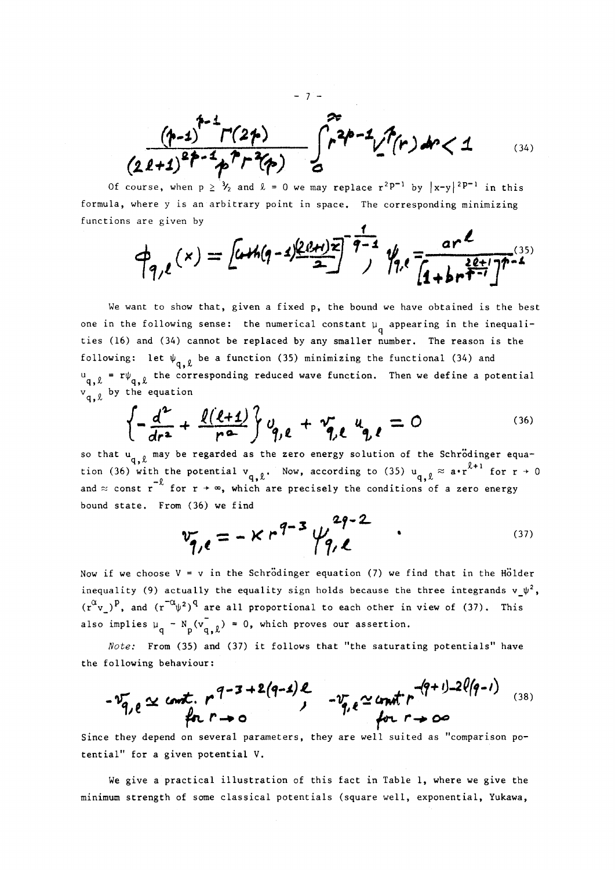$\int_{0}^{2\pi} r^{2p-1} \int_{0}^{2\pi} r^{2p-1} \int_{0}^{r} (r) dr < 1$ (34)

Of course, when  $p \ge \frac{3}{2}$  and  $\ell = 0$  we may replace  $r^2P^{-1}$  by  $|x-y|^{2}P^{-1}$  in this formula, where y is an arbitrary point in space. The corresponding minimizing functions are given by

- 7 -

$$
\phi_{q,\ell}(x) = \left[\omega h(q-1)\frac{(p+1)x}{2}\right]^{\frac{1}{q-1}} \frac{q}{2} \int_{1}^{1} \frac{ar^{\ell}}{(1+br^{\frac{2\ell+1}{2}})^{n-1}}
$$

We want to show that, given a fixed p, the bound we have obtained is the best one in the following sense: the numerical constant  $\mu_{\alpha}$  appearing in the inequalities (16) and (34) cannot be replaced by any smaller number. The reason is the following: let  $\psi_{\mathbf{q},\, \ell}$  be a function (35) minimizing the functional (34) and  $\mathbf{u}_{\mathbf{q},\ell}$  = r $\psi_{\mathbf{q},\ell}$  the corresponding reduced wave function. Then we define a potential  $_{\mathtt{q,} \, \ell}$  by the equation

$$
\left\{-\frac{d^2}{dr^2} + \frac{\ell(\ell+1)}{r^2}\right\}v_{q,\ell} + v_{q,\ell}^2 u_{q,\ell} = 0
$$
 (36)

so that  $u_{q, \ell}$  may be regarded as the zero energy solution of the Schrodinger equation (36) with the potential  $v_{q, \ell}$ . Now, according to (35)  $u_{q, \ell} \approx a \cdot r^{\ell+1}$  for  $r \to 0$ and  $\approx$  const r<sup>-2</sup> for r +  $\infty$ , which are precisely the conditions of a zero energy bound state. From (36) we find

$$
v_{q,e} = -K r^{q-3} \psi_{q,e}^{2q-2} \qquad (37)
$$

Now if we choose  $V = v$  in the Schrödinger equation (7) we find that in the Hölder inequality (9) actually the equality sign holds because the three integrands  $\mathbf{v}\_\mathbf{y}^2$ ,  $(r^{\mu}v_{\mu})^{\nu}$ , and  $(r^{\mu}v^{\mu})^{\nu}$  are all proportional to each other in view of (37). This also implies  $\mu_q - N_p(v_{q,\ell}) = 0$ , which proves our assertion.

*Note:* From (35) and (37) it follows that "the saturating potentials" have the following behaviour:

$$
-\frac{v_{q}}{q}, e \simeq
$$
 const.  $r^{q-3+2(q-4)}.$   $-\frac{v_{q}}{q}, e \simeq$  const.  $r^{-(q+1)-2\ell(q-1)}$  (38)

Since they depend on several parameters, they are well suited as "comparison potential" for a given potential V.

We give a practical illustration of this fact in Table 1, where we give the minimum strength of some classical potentials (square well, exponential, Yukawa,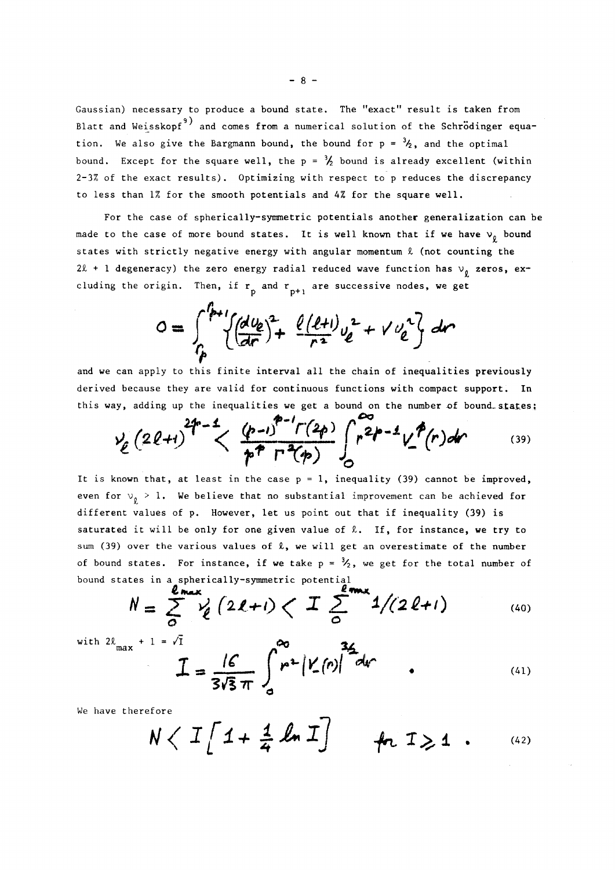Gaussian) necessary to produce a bound state. The "exact" result is taken from Blatt and Weisskopf<sup>9)</sup> and comes from a numerical solution of the Schrödinger equation. We also give the Bargmann bound, the bound for  $p = \frac{3}{2}$ , and the optimal bound. Except for the square well, the  $p = \frac{3}{2}$  bound is already excellent (within  $2-3\%$  of the exact results). Optimizing with respect to p reduces the discrepancy to less than 1% for the smooth potentials and 4% for the square well.

For the case of spherically-symmetric potentials another generalization can be made to the case of more bound states. It is well known that if we have  $v_g$  bound states with strictly negative energy with angular momentum £ (not counting the 2 $\ell$  + 1 degeneracy) the zero energy radial reduced wave function has  $v_0$  zeros, excluding the origin. Then, if  $r_{n}$  and  $r_{n+1}$  are successive nodes, we get

$$
0 = \int_{\Gamma_p}^{\Gamma_{p+1}} \left\{ \left( \frac{dU_e}{dr} \right)^2 + \frac{\ell(\ell+1)}{r^2} U_e^2 + V U_e^2 \right\} dr
$$

and we can apply to this finite interval all the chain of inequalities previously derived because they are valid for continuous functions with compact support. In this way, adding up the inequalities we get a bound on the number of bound states:

$$
\frac{1}{2}(2\ell+1)^{2p-1} < \frac{(p-1)^{p-1}\Gamma(2p)}{p^p\Gamma^2(p)} \int_{0}^{2p-1} \frac{\Gamma^{2}(r)dr}{r^{2p-1}} \qquad (39)
$$

It is known that, at least in the case  $p = 1$ , inequality (39) cannot be improved, even for  $v_0 > 1$ . We believe that no substantial improvement can be achieved for different values of p. However, let us point out that if inequality (39) is saturated it will be only for one given value of  $\ell$ . If, for instance, we try to sum (39) over the various values of  $\ell$ , we will get an overestimate of the number of bound states. For instance, if we take  $p = \frac{1}{2}$ , we get for the total number of bound states in a spherically-symmetric potential

Co.

$$
N = \sum_{0}^{2m x} Y_{\ell} (2\ell + 1) \left\langle T \sum_{0}^{2m x} 1/(2\ell + 1) \right\rangle
$$
 (40)

with  $2\ell_{\text{max}} + 1 = \sqrt{1}$ 

$$
I = \frac{16}{3\sqrt{3}\pi} \int_{0}^{\infty} r^{2} |Y_{2}(r)|^{2} dr
$$
 (41)

We have therefore

$$
N \langle T\left[1+\frac{1}{4}\ln T\right] + n \quad T \geq 1 \quad . \tag{42}
$$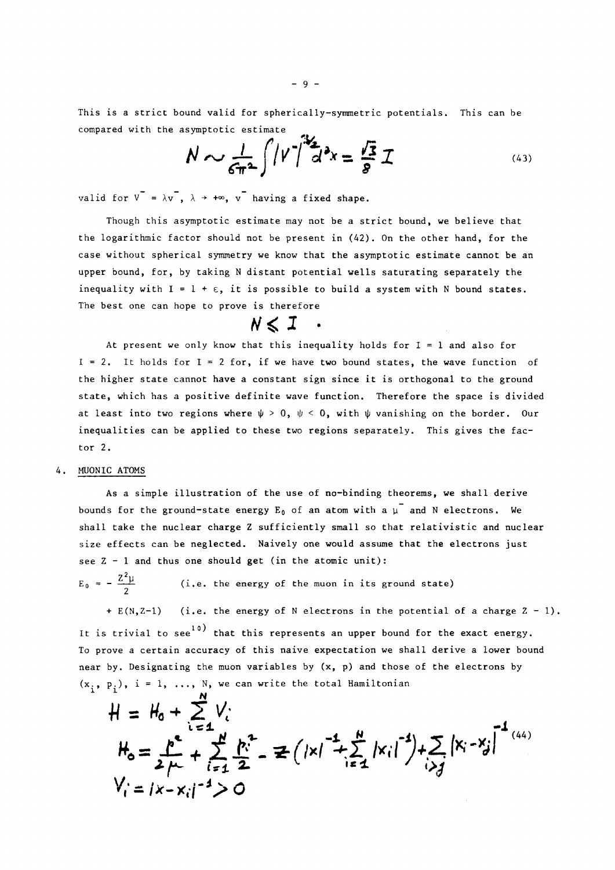This is a strict bound valid for spherically-symmetric potentials. This can be compared with the asymptotic estimate

$$
N \sim \frac{1}{6\pi^2} \int |\nu|^2 d^2x = \frac{\sqrt{3}}{8} \mathcal{I}
$$
 (43)

valid for  $V = \lambda v$ ,  $\lambda \rightarrow +\infty$ ,  $v$  having a fixed shape.

Though this asymptotic estimate may not be a strict bound, we believe that the logarithmic factor should not be present in (42). On the other hand, for the case without spherical symmetry we know that the asymptotic estimate cannot be an upper bound, for, by taking N distant potential wells saturating separately the inequality with  $I = 1 + \varepsilon$ , it is possible to build a system with N bound states. The best one can hope to prove is therefore

### $N \leq 1$  .

At present we only know that this inequality holds for  $I = 1$  and also for  $I = 2$ . It holds for  $I = 2$  for, if we have two bound states, the wave function of the higher state cannot have a constant sign since it is orthogonal to the ground state, which has a positive definite wave function. Therefore the space is divided at least into two regions where  $\psi > 0$ ,  $\psi < 0$ , with  $\psi$  vanishing on the border. Our inequalities can be applied to these two regions separately. This gives the factor 2.

### 4. MUONIC ATOMS

As a simple illustration of the use of no-binding theorems, we shall derive bounds for the ground-state energy  $E_0$  of an atom with a  $\mu^-$  and N electrons. We shall take the nuclear charge Z sufficiently small so that relativistic and nuclear size effects can be neglected. Naively one would assume that the electrons just see  $2 - 1$  and thus one should get (in the atomic unit):

 $E_0 = -\frac{Z^2 \mu}{2}$ (i.e. the energy of the muon in its ground state)

 $+ E(N,Z-1)$  (i.e. the energy of N electrons in the potential of a charge  $Z - 1$ ). It is trivial to see<sup>10</sup> that this represents an upper bound for the exact energy. To prove a certain accuracy of this naive expectation we shall derive a lower bound near by. Designating the muon variables by (x, p) and those of the electrons by  $(x_i, p_i)$ , i = 1, ..., N, we can write the total Hamiltonian

$$
H = H_0 + \sum_{i=1}^{N} V_i
$$
  
\n
$$
H_0 = \sum_{i=1}^{N} F_i + \sum_{i=1}^{N} F_i^2 = \mathbb{E} \left( |x|^{-1} + \sum_{i=1}^{N} |x_i|^{-1} \right) + \sum_{i > j} |x_i - x_j|^{-1}
$$
  
\n
$$
V_i = |x - x_i|^{-1} > 0
$$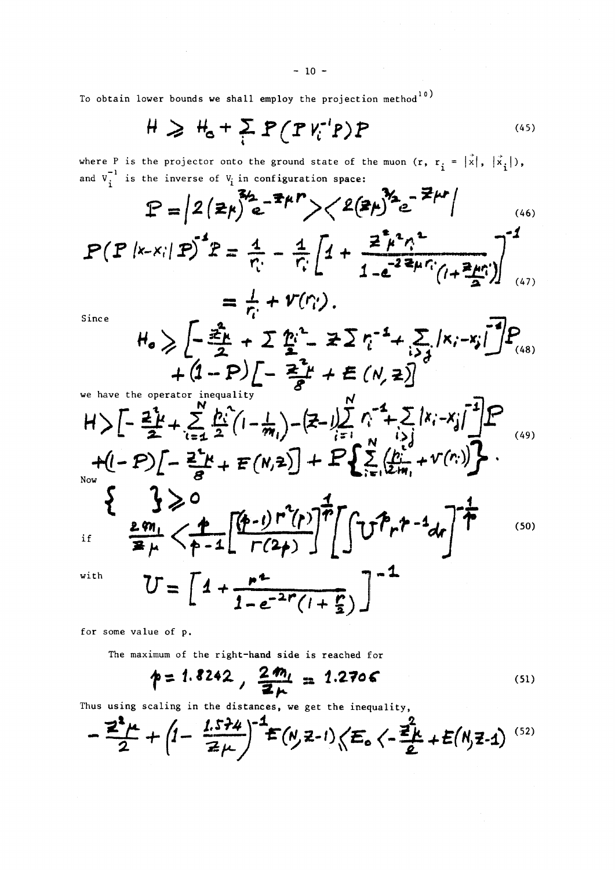$$
H \geq H_{\rm c} + \sum_{i} P(PV_{i}^{\prime}P)P
$$
 (45)

where P is the projector onto the ground state of the muon  $(r, r, = |x|, |x,|),$  $\frac{-1}{\pi}$  is the inverse of  $V_1$  in configuration space.  $\frac{1}{1}$  is the inverse of  $\frac{1}{1}$  in configuration space:

$$
P = \left| 2 (z_{k})^{3/2} e^{-z_{k}} - \frac{z_{k}}{n} \right|
$$
\n
$$
P (P | x - x_{i}| P)^{-1} P = \frac{4}{n!} - \frac{4}{n!} \left[ 4 + \frac{z_{k}^{2} n!^{2}}{1 - e^{-2z_{k}} n! (1 + \frac{z_{k}^{2} n!}{2})} \right]_{(47)}
$$
\n
$$
= \frac{1}{n!} + V(n);
$$
\nSince\n
$$
H_{0} \geq \left[ -\frac{z_{k}}{2} + \sum \frac{n!^{2}}{2} - \frac{z_{k}}{2} \sum \frac{n!^{2} - 4}{2} \sum \frac{n!^{2} - 4}{2} \sum \frac{n!^{2} - 4}{2} \sum \frac{n!^{2} - 4}{2} \sum \frac{n!^{2} - 4}{2} \sum \frac{n!^{2} - 4}{2} \sum \frac{n!^{2} - 4}{2} \sum \frac{n!^{2} - 4}{2} \sum \frac{n!^{2} - 4}{2} \sum \frac{n!^{2} - 4}{2} \sum \frac{n!^{2} - 4}{2} \sum \frac{n!^{2} - 4}{2} \sum \frac{n!^{2} - 4}{2} \sum \frac{n!^{2} - 4}{2} \sum \frac{n!^{2} - 4}{2} \sum \frac{n!^{2} - 4}{2} \sum \frac{n!^{2} - 4}{2} \sum \frac{n!^{2} - 4}{2} \sum \frac{n!^{2} - 4}{2} \sum \frac{n!^{2} - 4}{2} \sum \frac{n!^{2} - 4}{2} \sum \frac{n!^{2} - 4}{2} \sum \frac{n!^{2} - 4}{2} \sum \frac{n!^{2} - 4}{2} \sum \frac{n!^{2} - 4}{2} \sum \frac{n!^{2} - 4}{2} \sum \frac{n!^{2} - 4}{2} \sum \frac{n!^{2} - 4}{2} \sum \frac{n!^{2} - 4}{2} \sum \frac{n!^{2} - 4}{2} \sum \frac{n!^{2} - 4}{2} \sum \frac{n!^{2} - 4}{2} \sum \frac{n!^{2} - 4}{2} \sum \frac{n!^{2} - 4}{2} \sum \frac{n!^{2} - 4}{2} \sum \frac{n!^{2} - 4}{2
$$

Now

$$
\frac{3}{2} \geq 0
$$
\n
$$
\frac{2m_1}{2\mu} < \frac{1}{\rho-1} \left[ \frac{(p-1) r^2(p)}{r(2\mu)} \right]^{\frac{1}{p}} \left[ \int_0^{\infty} t^{p} r^{p-1} dr \right]^{\frac{1}{p}} \tag{50}
$$

with

if

 $U = \left[ 4 + \frac{r^2}{1 - e^{-2r}(1 + \frac{r}{2})} \right]^{-1}$ 

for some value of p.

The maximum of the right-hand side is reached for

$$
p = 1.8242, \frac{2m_1}{2m_1} = 1.2706
$$
 (51)

Thus using scaling in the distances, we get the inequality,

$$
-\frac{z^{2}}{2}+ \left(1-\frac{1.574}{z\mu}\right)^{-1}E(N,z-1)\left\langle E_{0}\left\langle -\frac{z^{2}}{2}+E(N,z-1)\right\rangle ^{(52)}
$$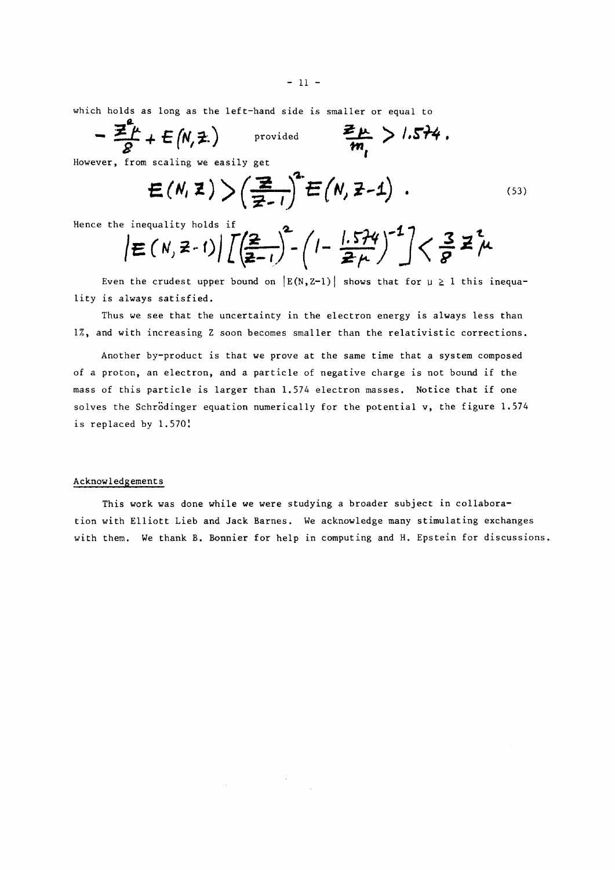which holds as long as the left-hand side is smaller or equal to

$$
-\frac{\sum_{\beta}^{T}L}{\beta}+E(N,\pm)
$$
 provided  $\frac{\sum_{\mu}}{m_{\mu}} > 1.574$ .

However, from scaling we easily get

$$
E(N, Z) > \left(\frac{Z}{Z-1}\right)^2 E(N, Z-1) \quad . \tag{53}
$$

Hence the inequality holds if 
$$
\left| \frac{1}{\sum_{i=1}^{n} (N_i - 1)} \right| \left[ \left( \frac{2}{2} \right)^2 - \left( 1 - \frac{1.574}{2 \mu} \right)^{-1} \right] < \frac{3}{8} \mathbb{Z}^2 \mu
$$

Even the crudest upper bound on  $|E(N,Z-1)|$  shows that for  $\mu \ge 1$  this inequality is always satisfied.

Thus we see that the uncertainty in the electron energy is always less than 1%, and with increasing Z soon becomes smaller than the relativistic corrections.

Another by-product is that we prove at the same time that a system composed of a proton, an electron, and a particle of negative charge is not bound if the mass of this particle is larger than 1.574 electron masses. Notice that if one solves the Schrödinger equation numerically for the potential v, the figure 1.574 is replaced by 1.570!

### Acknowledgements

This work was done while we were studying a broader subject in collaboration with Elliott Lieb and Jack Barnes. We acknowledge many stimulating exchanges with them. We thank B. Bonnier for help in computing and H. Epstein for discussions.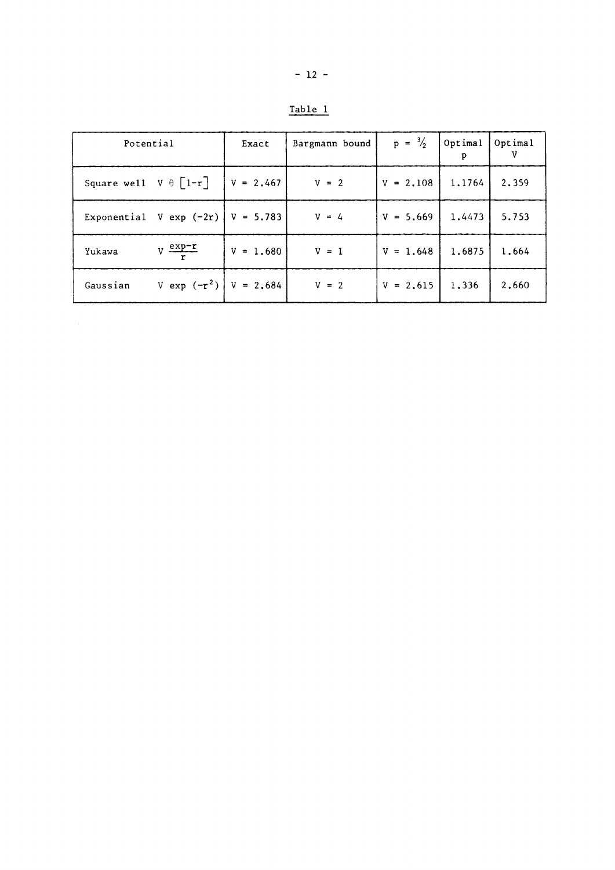| ×<br>٠ |  |
|--------|--|
|        |  |

| Potential                      |                                       | Exact         | Bargmann bound | $p = \frac{3}{2}$ | Optimal<br>p | Optimal |
|--------------------------------|---------------------------------------|---------------|----------------|-------------------|--------------|---------|
| Square well $V \theta$ $[1-r]$ |                                       | $ V = 2.467 $ | $V = 2$        | $V = 2,108$       | 1,1764       | 2,359   |
|                                | Exponential V exp $(-2r)$   V = 5.783 |               | $V = 4$        | $V = 5.669$       | 1.4473       | 5.753   |
| Yukawa                         | $V \frac{exp-r}{\sqrt{2}}$            | $V = 1.680$   | $V = 1$        | $V = 1.648$       | 1.6875       | 1,664   |
| Gaussian                       | V exp $(-r^2)$   V = 2.684            |               | $V = 2$        | $V = 2.615$       | 1,336        | 2,660   |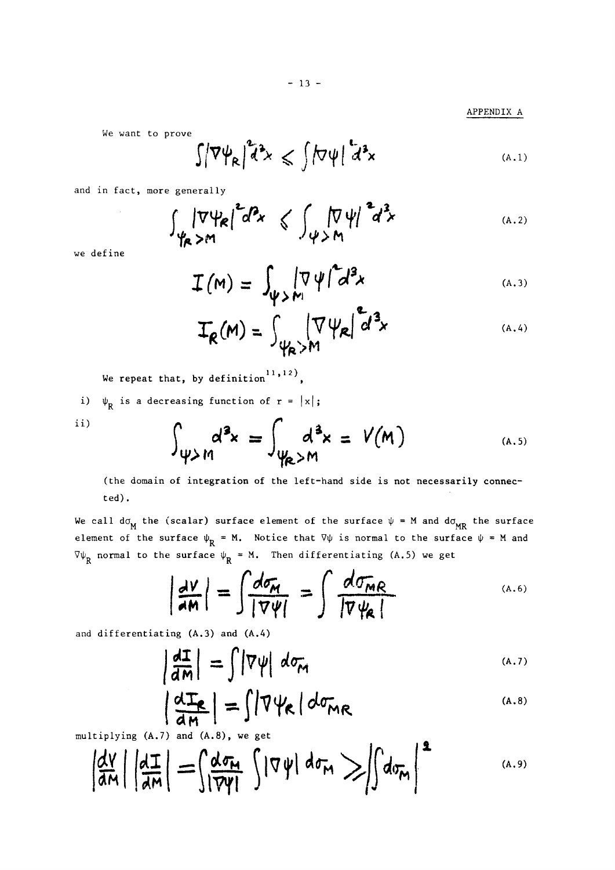$- 13 -$ 

APPENDIX A

We want to prove

$$
\int |\nabla \psi_{R}|^{2} d^{3}x \leqslant \int |\nabla \psi|^{2} d^{3}x \qquad (A.1)
$$

and in fact, more generally

$$
\int_{\mathscr{C}} |\nabla \psi_{R}|^{2} d^{2}x \leq \int_{\mathscr{C}} |\nabla \psi|^{2} d^{2}x \qquad (A.2)
$$

we define

$$
I(M) = \int_{\psi > M_1} |\nabla \psi|^2 d^3x \qquad (A.3)
$$

$$
T_R(M) = \int_{\psi_R > M} |\nabla \psi_R| d^3x
$$
 (A.4)

We repeat that, by definition  $11, 12$ ,

i)  $\psi_R$  is a decreasing function of  $r = |x|$ ;

$$
_{\rm ii)}
$$

$$
\int_{\psi > M} d^3x = \int_{\psi_R > M} d^3x = V(M)
$$
 (A.5)

(the domain of integration of the left-hand side is not necessarily connected).

We call  $\texttt{d}\sigma_{\texttt{M}}^{\texttt{}}$  the (scalar) surface element of the surface  $\psi$  = M and  $\texttt{d}\sigma_{\texttt{M}\texttt{R}}^{\texttt{}}$  the surface element of the surface  $\psi_{\bf p}$  = M. Notice that  $\nabla\psi$  is normal to the surface  $\psi$  = M and R normal to the surface  $\psi_R = M$ . Then differentiating (A.5) we get

$$
\left|\frac{dV}{dM}\right| = \int \frac{d\sigma_M}{|\nabla \psi|} = \int \frac{d\sigma_{MR}}{|\nabla \psi_R|}
$$
 (A.6)

and differentiating (A.3) and (A.4)

$$
\left|\frac{dI}{dm}\right| = \int |\nabla \psi| d\sigma_{m}
$$
 (A.7)

$$
\frac{dI_{\mathcal{R}}}{dm} = \int |\nabla \psi_{\mathcal{R}}| d\sigma_{MR}
$$
\n(A.8)

multiplying (A.7) and (A.8), we get

$$
\left|\frac{d\gamma}{d\pi}\right|\left|\frac{d\Gamma}{d\pi}\right|=\int\limits_{1}^{\infty}\frac{d\sigma_{\pi}}{|\nabla\psi|}\int\limits_{1}^{1}|\nabla\psi|\,d\sigma_{\pi}\gg\int\limits_{1}^{1}d\sigma_{\pi}\right|^{2} \qquad\qquad\text{(A.9)}
$$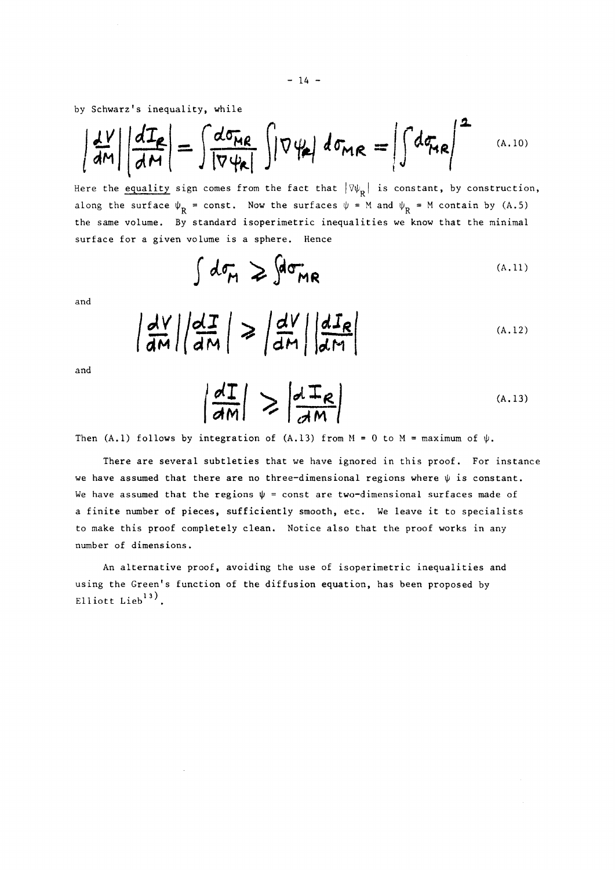by Schwarz's inequality, while

$$
\left|\frac{dV}{dm}\right|\left|\frac{dT_{R}}{dM}\right|=\int\frac{d\sigma_{MR}}{|\nabla\psi_{R}|}\int|\nabla\psi_{R}|d\sigma_{MR}=\left|\int d\sigma_{MR}\right|^{2} \quad \text{(A.10)}
$$

Here the equality sign comes from the fact that  $|\forall \psi_R|$  is constant, by construction, along the surface  $\psi_{\rm R}$  = const. Now the surfaces  $\psi$  = M and  $\psi_{\rm R}$  = M contain by (A.5) the same volume. By standard isoperimetric inequalities we know that the minimal surface for a given volume is a sphere. Hence

$$
\int d\sigma_{\mathcal{H}} \geqslant \int d\sigma_{\mathcal{M}R}
$$
 (A.11)

and

$$
\left|\frac{dV}{dM}\right|\left|\frac{dI}{dM}\right| \geq \left|\frac{dV}{dM}\right|\left|\frac{dI_R}{dM}\right|
$$
 (A.12)

and

$$
\left|\frac{dI}{dm}\right| \geq \left|\frac{dI_{R}}{dm}\right|
$$
 (A.13)

Then (A.1) follows by integration of (A.13) from  $M = 0$  to  $M = \text{maximum of } \psi$ .

There are several subtleties that we have ignored in this proof. For instance we have assumed that there are no three-dimensional regions where  $\psi$  is constant. We have assumed that the regions  $\psi$  = const are two-dimensional surfaces made of a finite number of pieces, sufficiently smooth, etc. We leave it to specialists to make this proof completely clean. Notice also that the proof works in any number of dimensions.

An alternative proof, avoiding the use of isoperimetric inequalities and using the Green's function of the diffusion equation, has been proposed by Elliott Lieb $^{13)}$ .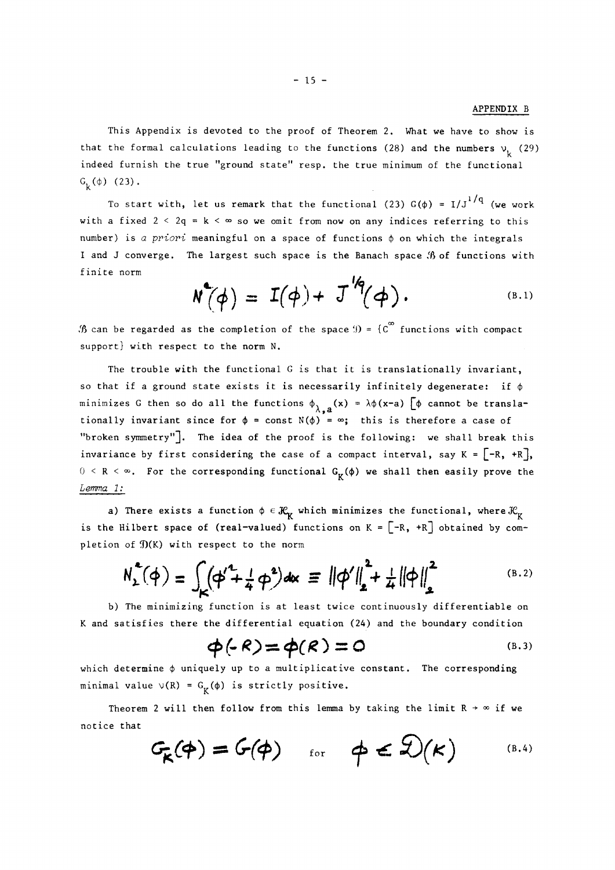### APPENDIX Β

This Appendix is devoted to the proof of Theorem 2. What we have to show is that the formal calculations leading to the functions (28) and the numbers  $v<sub>k</sub>$  (29) indeed furnish the true "ground state" resp. the true minimum of the functional  $G_{\nu}(\phi)$  (23).

To start with, let us remark that the functional (23)  $G(\phi) = I/J^{1/q}$  (we work with a fixed  $2 < 2q = k < \infty$  so we omit from now on any indices referring to this number) is a priori meaningful on a space of functions  $\phi$  on which the integrals I and J converge. The largest such space is the Banach space (B of functions with finite norm

$$
N^{\bullet}(\phi) = I(\phi) + J^{\prime\prime}( \phi).
$$
 (B.1)

 $\mathcal{B}$  can be regarded as the completion of the space  $\mathcal{D} = \{C^\infty$  functions with compact support} with respect to the norm N,

The trouble with the functional G is that it is translationally invariant, so that if a ground state exists it is necessarily infinitely degenerate: if **φ**  minimizes G then so do all the functions  $\phi_{\lambda, a}(x) = \lambda \phi(x-a)$   $\phi$  cannot be translationally invariant since for  $\phi = \text{const } N(\phi) = \infty$ ; this is therefore a case of "broken symmetry"]. The idea of the proof is the following: we shall break this invariance by first considering the case of a compact interval, say  $K = [-R, +R]$ ,  $\frac{1}{2}$   $\leq$   $\frac{p}{2}$   $\leq$   $\frac{p}{2}$ ,  $\frac{p}{2}$  for the conseconding functional,  $\frac{p}{2}$ ,  $\frac{p}{2}$ ,  $\frac{p}{2}$ ,  $\frac{p}{2}$ ,  $\frac{p}{2}$ ,  $\frac{p}{2}$ ,  $\frac{p}{2}$ ,  $\frac{p}{2}$ ,  $\frac{p}{2}$ ,  $\frac{p}{2}$ ,  $\frac{p}{2}$ ,  $\frac{p}{2}$ ,  $\frac$ **0** < R < ». For the corresponding functional G **(φ)** we shall then easily prove the

a) There exists a function  $\phi \in \mathcal{K}_k$  which minimizes the functional, where  $\mathcal{K}_k$ e<sup>f</sup>  $\sum_{i=1}^{\infty}$   $\sum_{i=1}^{\infty}$ pletion of  $\mathfrak{N}(K)$  with respect to the norm

$$
N_{2}^{2}(\varphi) = \int_{K} (\varphi'^{2} + \frac{1}{4} \varphi^{2}) dx = ||\varphi'||_{2}^{2} + \frac{1}{4} ||\varphi||_{2}^{2}
$$
 (B.2)

b) The minimizing function is at least twice continuously differentiable on and satisfies there the differential equation (24) and the boundary condition

$$
\phi(\cdot \mathsf{R}) = \phi(\mathsf{R}) = 0 \tag{B.3}
$$

which determine  $\phi$  uniquely up to a multiplicative constant. The corresponding minimal value  $\vee(R) = G_V(\phi)$  is strictly positive.

Theorem 2 will then follow from this lemma by taking the limit  $R \rightarrow \infty$  if we  $\mathcal{L}$  that

$$
G_{\kappa}(\phi) = G(\phi)
$$
 for  $\phi \in \mathfrak{D}(\kappa)$  (B.4)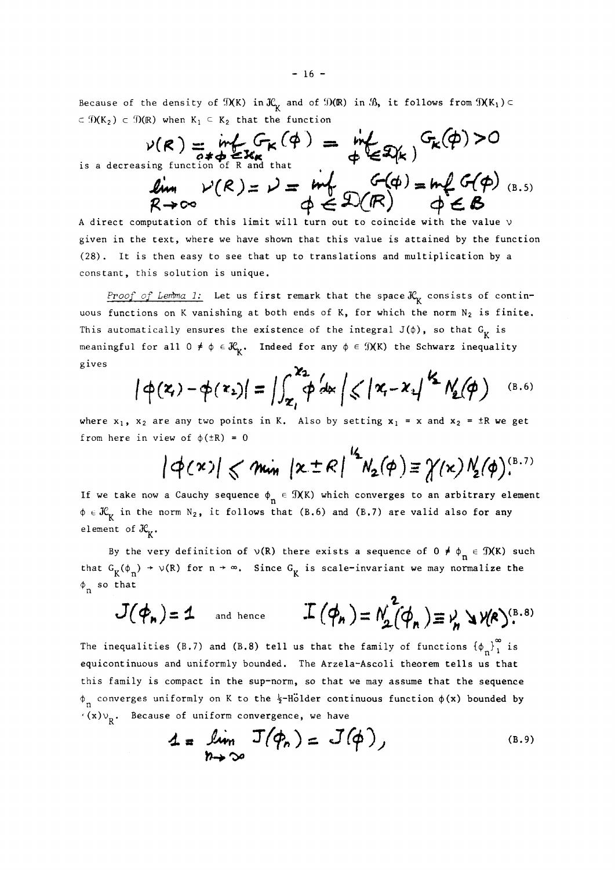Because of the density of  $\mathfrak{N}(K)$  in  $\mathfrak{K}_K$  and of  $\mathfrak{D}(R)$  in  $\mathfrak{K}$ , it follows from  $\mathfrak{N}(K_1) \subset$  $c \in \mathcal{D}(K_2)$  c  $\mathcal{D}(R)$  when  $K_1 \subseteq K_2$  that the function

is a decr

$$
\nu(R) = \inf_{\substack{\sigma \neq \sigma \\ \text{easing function of R and that}}} F_K(\phi) = \inf_{\phi \in \mathcal{R}(k)} F_K(\phi) > 0
$$
\n
$$
\lim_{R \to \infty} \nu(R) = \nu = \inf_{\phi \in \mathcal{L}(R)} F_K(\phi) = \inf_{\phi \in \mathcal{L}(R)} F_F(\phi) \quad (8.5)
$$

A direct computation of this limit will turn out to coincide with the value ν given in the text, where we have shown that this value is attained by the function (28). It is then easy to see that up to translations and multiplication by a constant, this solution is unique.

*Proof of Lemma 1:* Let us first remark that the space  $\mathcal{K}_{\kappa}$  consists of continuous functions on K vanishing at both ends of K, for which the norm  $N_2$  is finite. This automatically ensures the existence of the integral  $J(\phi)$ , so that  $G_{\gamma}$  is meaningful for all  $0 \neq \phi \in \mathcal{K}_k$ . Indeed for any  $\phi \in \mathcal{I}(K)$  the Schwarz inequality meaning ful for all 0  $\mu$ . In details in any  $\mu$  is any  $\mu$  in the Schwarz inequality in the Schwarz inequality in the Schwarz inequality in the Schwarz inequality in the Schwarz inequality in the Schwarz inequality in

$$
|\varphi(\mathbf{x}) - \varphi(\mathbf{x}_2)| = \Big| \int_{\mathbf{x}_1}^{\mathbf{x}_2} \varphi \, d\mathbf{x} \Big| \leqslant |\mathbf{x}_1 - \mathbf{x}_1|^{1/2} N_2(\varphi)
$$
 (B.6)

where  $x_1$ ,  $x_2$  are any two points in K. Also by setting  $x_1 = x$  and  $x_2 = \pm R$  we get from here in view of  $\phi$ ( $\pm$ R) = 0

$$
|\phi(\kappa)| \leqslant \min |\kappa \pm \kappa|^{\frac{1}{2}} N_2(\phi) \equiv \gamma(\kappa) N_2(\phi)^{(\beta.7)}
$$

If we take now a Cauchy sequence  $\phi_n \in \mathcal{I}(K)$  which converges to an arbitrary element  $\phi \in \mathcal{K}_K$  in the norm N<sub>2</sub>, it follows that (B.6) and (B.7) are valid also for any **.**  element of  $\alpha_{K^*}$ .

By the very definition of  $\vee$ (R) there exists a sequence of  $0 \neq \phi_n \in \mathcal{D}(K)$  such that  $G_K(\phi_n) \to \nu(R)$  for  $n \to \infty$ . Since  $G_K$  is scale-invariant we may normalize the  $\phi_n$  so that

$$
J(\boldsymbol{\phi}_n)=1 \quad \text{and hence} \quad J(\boldsymbol{\phi}_n)=N_2^2(\boldsymbol{\phi}_n)\equiv V_n \searrow V(R)^{(B.8)}
$$

The inequalities (B.7) and (B.8) tell us that the family of functions  ${\phi_n}_{1}^{\infty}$  is equicontinuous and uniformly bounded. The Arzela-Ascoli theorem tells us that this family is compact in the sup-norm, so that we may assume that the sequence  $\phi_n$  converges uniformly on K to the  $\frac{1}{2}$ -Hölder continuous function  $\phi(x)$  bounded by  $\frac{d}{dx}(x)v_R$ . Because of uniform convergence, we have

$$
4 = \lim_{n \to \infty} J(\phi_n) = J(\phi),
$$
\n(B.9)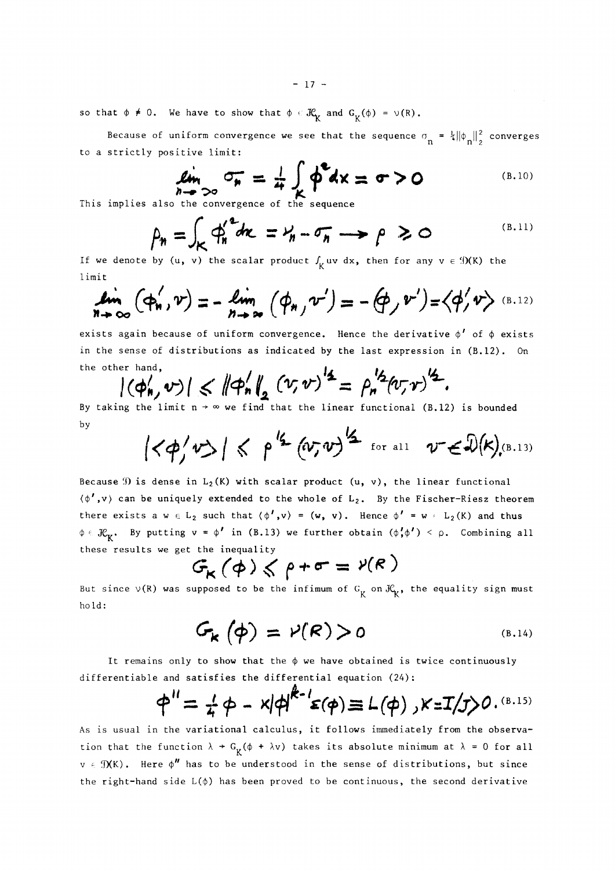$- 17 -$ 

so that  $\phi \neq 0$ . We have to show that  $\phi \in \mathcal{K}^{\bullet}_{\mathbf{t}}$  and  $\mathtt{G}^{\bullet}_{\mathbf{t}'}(\phi)$  =  $\triangledown(\mathtt{R})$ .

Because of uniform convergence we see that the sequence  $\sigma_{\bf k} = \frac{1}{4} \|\phi_{\bf k}\|_2^2$  converges to a strictly positive limit:

$$
\lim_{n \to \infty} \sigma_n = \frac{1}{4} \int_{K} \Phi^2 dx = \sigma > 0
$$
\n(B.10)

This implies also the convergence of the sequence

$$
\rho_n = \int_K \phi_n^{\alpha^2} dx = \gamma_n - \sigma_n \longrightarrow \rho \geq 0
$$
 (B.11)

If we denote by  $(u, v)$  the scalar product  $\int_{V} uv \, dx$ , then for any  $v \in \mathcal{D}(K)$  the 1 imit

$$
\lim_{n\to\infty} (\varphi'_n, v) = -\lim_{n\to\infty} (\varphi_{n, v}) = -(\varphi_{n, v}) = \langle \varphi'_{n, v} \rangle
$$
 (B.12)

exists again because of uniform convergence. Hence the derivative  $\phi'$  of  $\phi$  exists in the sense of distributions as indicated by the last expression in (B.12). On the other hand,

$$
|(\phi'_n,v)| \leq \|\phi'_n\|_2 (v,v)^{14} = \rho_n^{1/2} (v,v)^{1/2}.
$$

By taking the limit  $n \to \infty$  we find that the linear functional (B.12) is bounded by

$$
|\langle \phi / v \rangle| \leq \rho'^{2} (\omega, v)^{1/2}
$$
 for all  $v \in \mathcal{D}(k)$ , (B.13)

Because  $\mathfrak D$  is dense in  $L_2(K)$  with scalar product (u, v), the linear functional **(φ**',ν) can be uniquely extended to the whole of L<sup>2</sup> . By the Fischer-Riesz theorem there exists a  $w \in L_2$  such that  $(\phi', v) = (w, v)$ . Hence  $\phi' = w \in L_2(K)$  and thus  $\phi \in \mathcal{H}_K$ . By putting  $v = \phi'$  in (B.13) we further obtain  $(\phi', \phi') < \rho$ . Combining all these results we get the inequality

$$
G_{\kappa}(\phi) \leq \rho + \sigma = \nu(\kappa)
$$

But since  $\vee$ (R) was supposed to be the infimum of  $G_K$  on  $\mathcal{H}_K$ , the equality sign must hold:

$$
G_{k}(\phi) = \nu(R) > 0
$$
 (B.14)

It remains only to show that the  $\phi$  we have obtained is twice continuously differentiable and satisfies the differential equation (24):

$$
\phi'' = \frac{1}{4} \phi - \frac{x}{4} \phi^{k-1} \varepsilon(\phi) \equiv L(\phi), \kappa = I/\frac{1}{2} \phi^{(B.15)}
$$

As is usual in the variational calculus, it follows immediately from the observation that the function  $\lambda + G_{\mathbf{g}}(\phi + \lambda \mathbf{v})$  takes its absolute minimum at  $\lambda = 0$  for all  $v \in \mathcal{D}(K)$ . Here  $\phi''$  has to be understood in the sense of distributions, but since the right-hand side L(φ) has been proved to be continuous, the second derivative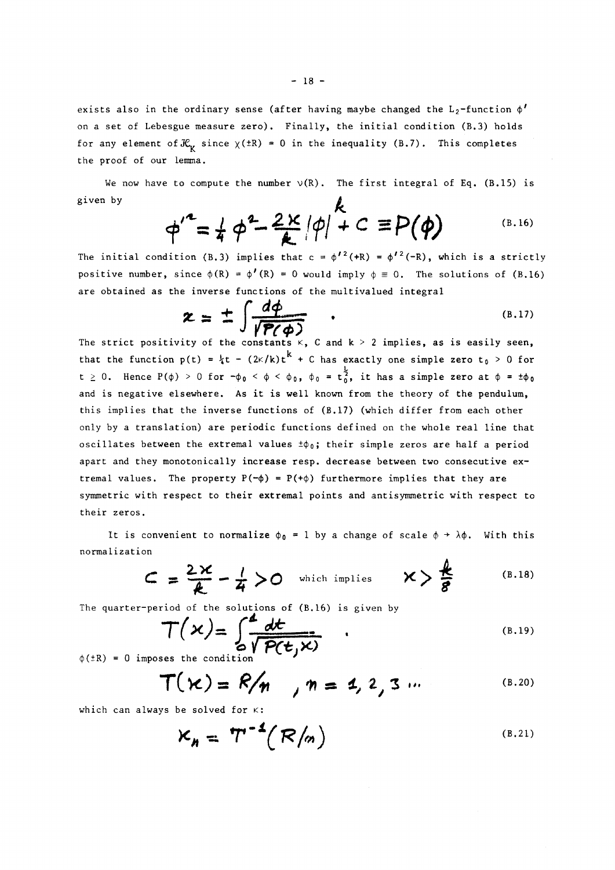exists also in the ordinary sense (after having maybe changed the  $\tt L_2$ -function  $\phi'$ on a set of Lebesgue measure zero). Finally, the initial condition (B.3) holds for any element of  $\mathcal{K}_{\kappa}$  since  $\chi$ ( $\pm$ R) = 0 in the inequality (B.7). This completes the proof of our lemma.

We now have to compute the number  $\nu(R)$ . The first integral of Eq. (B.15) is given by  $\mathbf{r}$ 

$$
\phi'^2 = \frac{1}{4} \phi^2 - \frac{2 \kappa}{\mathcal{A}} |\phi| + C \equiv P(\phi)
$$
 (B.16)

The initial condition (B.3) implies that  $c = \phi^{\prime\,2}(+R) = \phi^{\prime\,2}(-R)$ , which is a strictly positive number, since  $\phi(R) = \phi'(R) = 0$  would imply  $\phi \equiv 0$ . The solutions of (B.16) are obtained as the inverse functions of the multivalued integral

$$
\mathcal{Z} = \pm \int \frac{d\phi}{\sqrt{P(\phi)}}
$$
\nThe strict positivity of the constants  $\kappa$ , C and  $k > 2$  implies, as is easily seen,

that the function  $p(t) = \frac{1}{4}t - (2\kappa/k)t^k + C$  has exactly one simple zero  $t_0 > 0$  for t  $\ge$  0. Hence P( $\phi$ )  $>$  0 for  $-\phi$ <sub>0</sub> <  $\phi$  <  $\phi$ <sub>0</sub>,  $\phi$ <sub>0</sub> = t<sub>0</sub><sup>2</sup>, it has a simple zero at  $\phi$  =  $\pm\phi$ <sub>0</sub> and is negative elsewhere. As it is well known from the theory of the pendulum, this implies that the inverse functions of (B.17) (which differ from each other only by a translation) are periodic functions defined on the whole real line that oscillates between the extremal values  $\pm\phi_0$ ; their simple zeros are half a period apart and they monotonically increase resp. decrease between two consecutive extremal values. The property  $P(-\phi) = P(+\phi)$  furthermore implies that they are symmetric with respect to their extremal points and antisymmetric with respect to their zeros.

It is convenient to normalize  $\phi_0$  = 1 by a change of scale  $\phi \rightarrow \lambda \phi$ . With this normalization

$$
C = \frac{2\kappa}{\kappa} - \frac{1}{4} > 0 \quad \text{which implies} \quad \kappa > \frac{\kappa}{8} \quad (B.18)
$$

The quarter-period of the solutions of (B.16) is given by

$$
T(x) = \int_{\alpha}^{x} \frac{dt}{\sqrt{P(t,x)}} \qquad (B.19)
$$

 $\phi(\pm R) = 0$  imposes the condition

$$
T(\kappa) = R/n, \quad n = 1, 2, 3 \dots
$$
 (B.20)

which can always be solved for  $\kappa$ :

$$
K_{h} = T^{-1}(R/n)
$$
 (B.21)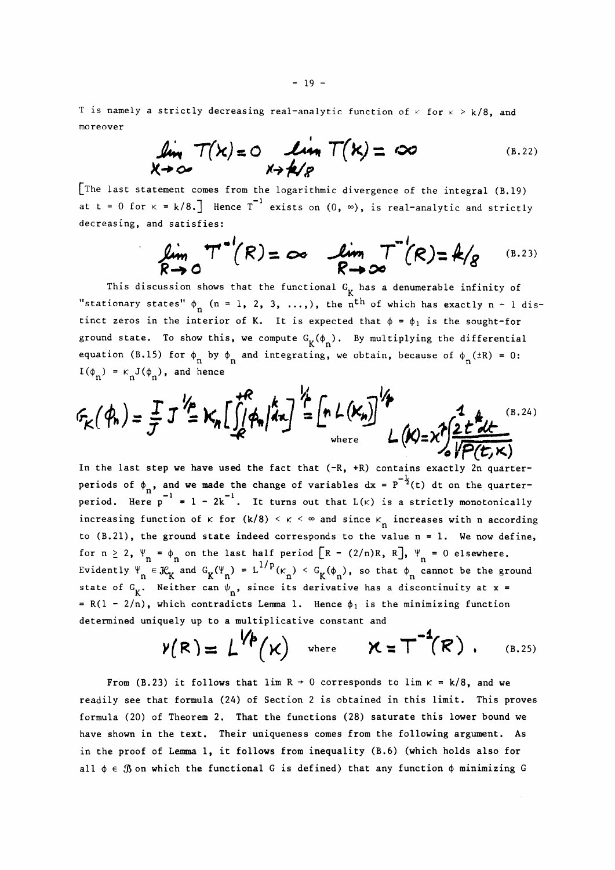T is namely a strictly decreasing real-analytic function of  $\kappa$  for  $\kappa > k/8$ , and moreover

$$
\lim_{x \to \infty} T(x) = 0
$$
\n
$$
\lim_{x \to \infty} T(x) = \infty
$$
\n(B.22)

[The last statement comes from the logarithmic divergence of the integral (B.19) at t = 0 for  $\kappa$  = k/8.] Hence T exists on (0,  $\infty$ ), is real-analytic and strictly decreasing, and satisfies:

$$
\lim_{R\to 0} T^{-1}(R) = \infty
$$
\n
$$
\lim_{R\to \infty} T^{-1}(R) = 4/g
$$
\n(B.23)

This discussion shows that the functional  $G_K$  has a denumerable infinity of "stationary states"  $\phi_n$  (n = 1, 2, 3, ...,), the n<sup>th</sup> of which has exactly n - 1 distinct zeros in the interior of K. It is expected that  $\phi = \phi_1$  is the sought-for ground state. To show this, we compute  $G_K(\phi_n)$ . By multiplying the differential  $\frac{1}{2}$ . equation (B.15) for  $\varphi_n$  by  $\varphi_n$  and integrating, we obtain, because of  $\varphi_n^{(\pm K)}$  = 0. ence and the set of the set of the set of the set of the set of the set of the set of the set of the set of the  $I(\phi_n) = \kappa_n J(\phi_n)$ , and hence

$$
F_K(\phi_n) = \frac{T}{J} J^{\frac{1}{2}} K_n \left[ \int_{0}^{+R} |\phi_n| dx \right]^{\frac{1}{2}} \left[ n \ln(K_n) \right]^{\frac{1}{2}} L(K) = \chi^2 \left( \frac{1}{2} \frac{1}{L} \frac{d}{dx} \right)^{(B.24)}
$$

In the last step we have used the fact that **(-R, +R)** contains exactly 2n quarter- **-J**periods of  $\gamma_n$ , and we made the change of variables dx  $\rightarrow$  (t) dt on the quarterperiod. Here  $p^{-1} = 1 - 2k^{-1}$ . It turns out that  $L(k)$  is a strictly monotonically increasing function of  $\kappa$  for  $(k/8) < \kappa < \infty$  and since  $\kappa_n$  increases with n according to  $(B, 21)$ , the ground state indeed corresponds to the value  $n = 1$ . We now define, for  $n \geq 2$ ,  $\Psi_n = \phi_n$  on the last half period  $[R - (2/n)R, R]$ ,  $\Psi_n = 0$  elsewhere. Evidently  $\Psi_n \in \mathcal{X}_K$  and  $G_K(\Psi_n) = L^{1/p}(\kappa_n) < G_K(\phi_n)$ , so that  $\phi_n$  cannot be the ground state of  $G_K$ . Neither can  $\psi_n$ , since its derivative has a discontinuity at x =  $= R(1 - 2/n)$ , which contradicts Lemma 1. Hence  $\phi_1$  is the minimizing function determined uniquely up to a multiplicative constant and

$$
V(R) = L^{Vp}(x) \quad \text{where} \quad X = T^{-1}(R) \quad . \quad (B.25)
$$

From (B.23) it follows that lim  $R \rightarrow 0$  corresponds to lim  $\kappa = k/8$ , and we readily see that formula (24) of Section 2 is obtained in this limit. This proves formula (20) of Theorem 2. That the functions (28) saturate this lower bound we have shown in the text. Their uniqueness comes from the following argument. As in the proof of Lemma 1, it follows from inequality (B.6) (which holds also for all  $\phi \in \mathcal{B}$  on which the functional G is defined) that any function  $\phi$  minimizing G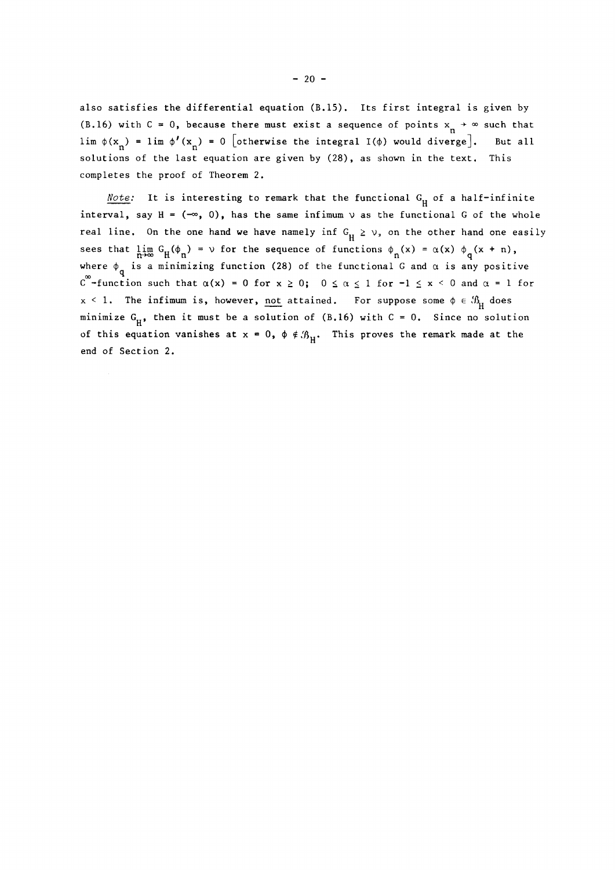also satisfies the differential equation (B.15). Its first integral is given by (B.16) with C = 0, because there must exist a sequence of points  $x_{n} \rightarrow \infty$  such that lim  $\phi(x_n) = \lim_{n \to \infty} \phi'(x_n) = 0$  [otherwise the integral I( $\phi$ ) would diverge]. But all solutions of the last equation are given by (28), as shown in the text. This completes the proof of Theorem 2.

*Note:* It is interesting to remark that the functional  $G_H$  of a half-infinite interval, say  $H = (-\infty, 0)$ , has the same infimum  $\vee$  as the functional G of the whole real line. On the one hand we have namely inf  $G_H \ge \vee$ , on the other hand one easily sees that  $\lim_{n \to \infty} G_H(\phi_n) = \nu$  for the sequence of functions  $\phi_n(x) = \alpha(x) \phi_q(x + n)$ , where  $\phi_q$  is a minimizing function (28) of the functional G and  $\alpha$  is any positive  $\infty$   $\div$  functi c -function such that  $\alpha(x) = 0$  for  $x \in \alpha$ ,  $0 \in \alpha \leq x$  for  $x \in \alpha$ ,  $0$  and  $\alpha$  -1 for  $x < 1$ . The infimum is, however, not attained. For suppose some  $\phi \in \mathcal{B}_{tr}$  does minimize G<sub>H</sub>, then it must be a solution of (B.16) with C = 0. Since no solution  $\mathbf{H}^{\top}$ of this equation vanishes at  $x = 0$ ,  $\phi \notin \mathcal{B}_u$ . This proves the remark made at the *Η*  end of Section 2.